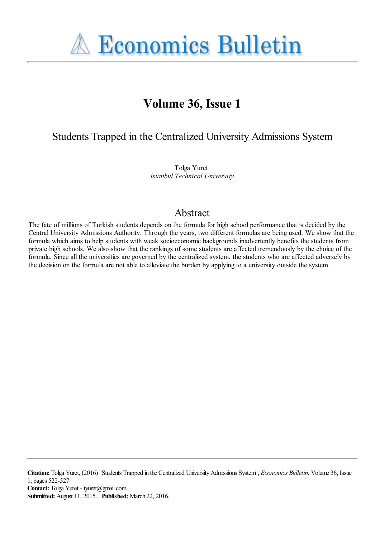**A Economics Bulletin** 

# **Volume 36, Issue 1**

Students Trapped in the Centralized University Admissions System

Tolga Yuret *Istanbul Technical University*

# Abstract

The fate of millions of Turkish students depends on the formula for high school performance that is decided by the Central University Admissions Authority. Through the years, two different formulas are being used. We show that the formula which aims to help students with weak socioeconomic backgrounds inadvertently benefits the students from private high schools. We also show that the rankings of some students are affected tremendously by the choice of the formula. Since all the universities are governed by the centralized system, the students who are affected adversely by the decision on the formula are not able to alleviate the burden by applying to a university outside the system.

**Citation:** Tolga Yuret, (2016) ''Students Trapped in the Centralized University Admissions System'', *Economics Bulletin*, Volume 36, Issue 1, pages 522-527 Contact: Tolga Yuret - tyuret@gmail.com. **Submitted:** August 11, 2015. **Published:** March 22, 2016.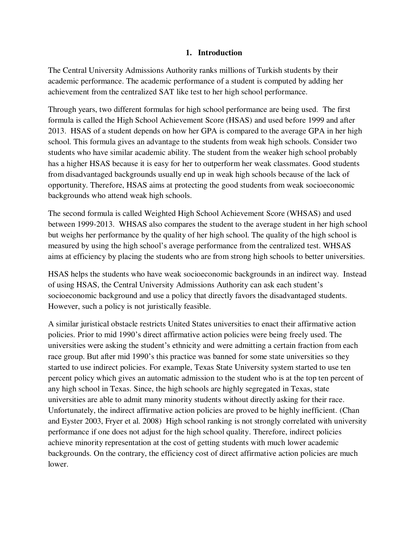## **1. Introduction**

The Central University Admissions Authority ranks millions of Turkish students by their academic performance. The academic performance of a student is computed by adding her achievement from the centralized SAT like test to her high school performance.

Through years, two different formulas for high school performance are being used. The first formula is called the High School Achievement Score (HSAS) and used before 1999 and after 2013. HSAS of a student depends on how her GPA is compared to the average GPA in her high school. This formula gives an advantage to the students from weak high schools. Consider two students who have similar academic ability. The student from the weaker high school probably has a higher HSAS because it is easy for her to outperform her weak classmates. Good students from disadvantaged backgrounds usually end up in weak high schools because of the lack of opportunity. Therefore, HSAS aims at protecting the good students from weak socioeconomic backgrounds who attend weak high schools.

The second formula is called Weighted High School Achievement Score (WHSAS) and used between 1999-2013. WHSAS also compares the student to the average student in her high school but weighs her performance by the quality of her high school. The quality of the high school is measured by using the high school's average performance from the centralized test. WHSAS aims at efficiency by placing the students who are from strong high schools to better universities.

HSAS helps the students who have weak socioeconomic backgrounds in an indirect way. Instead of using HSAS, the Central University Admissions Authority can ask each student's socioeconomic background and use a policy that directly favors the disadvantaged students. However, such a policy is not juristically feasible.

A similar juristical obstacle restricts United States universities to enact their affirmative action policies. Prior to mid 1990's direct affirmative action policies were being freely used. The universities were asking the student's ethnicity and were admitting a certain fraction from each race group. But after mid 1990's this practice was banned for some state universities so they started to use indirect policies. For example, Texas State University system started to use ten percent policy which gives an automatic admission to the student who is at the top ten percent of any high school in Texas. Since, the high schools are highly segregated in Texas, state universities are able to admit many minority students without directly asking for their race. Unfortunately, the indirect affirmative action policies are proved to be highly inefficient. (Chan and Eyster 2003, Fryer et al. 2008) High school ranking is not strongly correlated with university performance if one does not adjust for the high school quality. Therefore, indirect policies achieve minority representation at the cost of getting students with much lower academic backgrounds. On the contrary, the efficiency cost of direct affirmative action policies are much lower.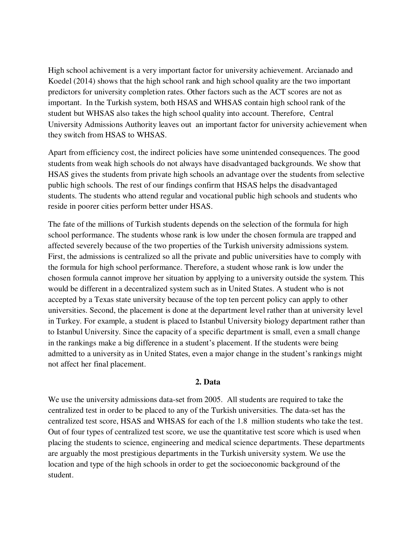High school achivement is a very important factor for university achievement. Arcianado and Koedel (2014) shows that the high school rank and high school quality are the two important predictors for university completion rates. Other factors such as the ACT scores are not as important. In the Turkish system, both HSAS and WHSAS contain high school rank of the student but WHSAS also takes the high school quality into account. Therefore, Central University Admissions Authority leaves out an important factor for university achievement when they switch from HSAS to WHSAS.

Apart from efficiency cost, the indirect policies have some unintended consequences. The good students from weak high schools do not always have disadvantaged backgrounds. We show that HSAS gives the students from private high schools an advantage over the students from selective public high schools. The rest of our findings confirm that HSAS helps the disadvantaged students. The students who attend regular and vocational public high schools and students who reside in poorer cities perform better under HSAS.

The fate of the millions of Turkish students depends on the selection of the formula for high school performance. The students whose rank is low under the chosen formula are trapped and affected severely because of the two properties of the Turkish university admissions system. First, the admissions is centralized so all the private and public universities have to comply with the formula for high school performance. Therefore, a student whose rank is low under the chosen formula cannot improve her situation by applying to a university outside the system. This would be different in a decentralized system such as in United States. A student who is not accepted by a Texas state university because of the top ten percent policy can apply to other universities. Second, the placement is done at the department level rather than at university level in Turkey. For example, a student is placed to Istanbul University biology department rather than to Istanbul University. Since the capacity of a specific department is small, even a small change in the rankings make a big difference in a student's placement. If the students were being admitted to a university as in United States, even a major change in the student's rankings might not affect her final placement.

#### **2. Data**

We use the university admissions data-set from 2005. All students are required to take the centralized test in order to be placed to any of the Turkish universities. The data-set has the centralized test score, HSAS and WHSAS for each of the 1.8 million students who take the test. Out of four types of centralized test score, we use the quantitative test score which is used when placing the students to science, engineering and medical science departments. These departments are arguably the most prestigious departments in the Turkish university system. We use the location and type of the high schools in order to get the socioeconomic background of the student.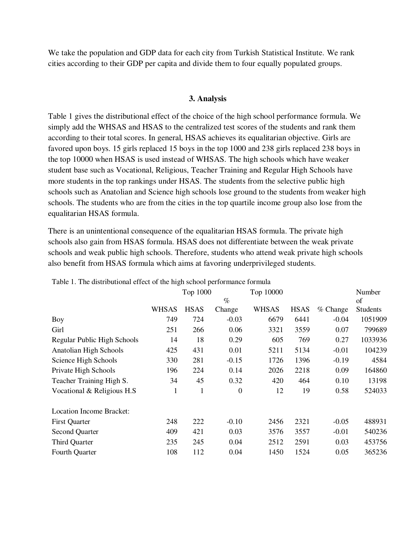We take the population and GDP data for each city from Turkish Statistical Institute. We rank cities according to their GDP per capita and divide them to four equally populated groups.

### **3. Analysis**

Table 1 gives the distributional effect of the choice of the high school performance formula. We simply add the WHSAS and HSAS to the centralized test scores of the students and rank them according to their total scores. In general, HSAS achieves its equalitarian objective. Girls are favored upon boys. 15 girls replaced 15 boys in the top 1000 and 238 girls replaced 238 boys in the top 10000 when HSAS is used instead of WHSAS. The high schools which have weaker student base such as Vocational, Religious, Teacher Training and Regular High Schools have more students in the top rankings under HSAS. The students from the selective public high schools such as Anatolian and Science high schools lose ground to the students from weaker high schools. The students who are from the cities in the top quartile income group also lose from the equalitarian HSAS formula.

There is an unintentional consequence of the equalitarian HSAS formula. The private high schools also gain from HSAS formula. HSAS does not differentiate between the weak private schools and weak public high schools. Therefore, students who attend weak private high schools also benefit from HSAS formula which aims at favoring underprivileged students.

|                                 |              | Top 1000    |                  | Top 10000    |             |          | Number   |
|---------------------------------|--------------|-------------|------------------|--------------|-------------|----------|----------|
|                                 | $\%$         |             |                  |              |             | of       |          |
|                                 | <b>WHSAS</b> | <b>HSAS</b> | Change           | <b>WHSAS</b> | <b>HSAS</b> | % Change | Students |
| Boy                             | 749          | 724         | $-0.03$          | 6679         | 6441        | $-0.04$  | 1051909  |
| Girl                            | 251          | 266         | 0.06             | 3321         | 3559        | 0.07     | 799689   |
| Regular Public High Schools     | 14           | 18          | 0.29             | 605          | 769         | 0.27     | 1033936  |
| Anatolian High Schools          | 425          | 431         | 0.01             | 5211         | 5134        | $-0.01$  | 104239   |
| Science High Schools            | 330          | 281         | $-0.15$          | 1726         | 1396        | $-0.19$  | 4584     |
| Private High Schools            | 196          | 224         | 0.14             | 2026         | 2218        | 0.09     | 164860   |
| Teacher Training High S.        | 34           | 45          | 0.32             | 420          | 464         | 0.10     | 13198    |
| Vocational & Religious H.S.     | 1            | 1           | $\boldsymbol{0}$ | 12           | 19          | 0.58     | 524033   |
| <b>Location Income Bracket:</b> |              |             |                  |              |             |          |          |
| <b>First Quarter</b>            | 248          | 222         | $-0.10$          | 2456         | 2321        | $-0.05$  | 488931   |
| <b>Second Quarter</b>           | 409          | 421         | 0.03             | 3576         | 3557        | $-0.01$  | 540236   |
| <b>Third Quarter</b>            | 235          | 245         | 0.04             | 2512         | 2591        | 0.03     | 453756   |
| Fourth Quarter                  | 108          | 112         | 0.04             | 1450         | 1524        | 0.05     | 365236   |

Table 1. The distributional effect of the high school performance formula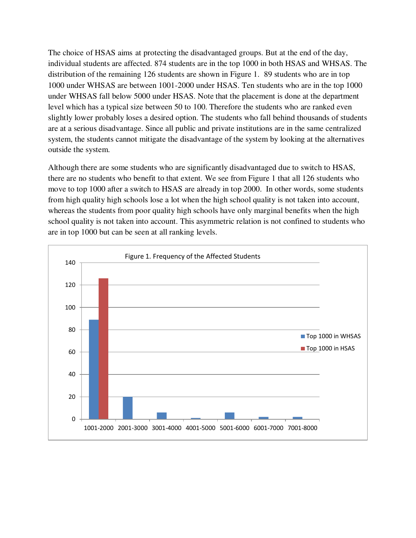The choice of HSAS aims at protecting the disadvantaged groups. But at the end of the day, individual students are affected. 874 students are in the top 1000 in both HSAS and WHSAS. The distribution of the remaining 126 students are shown in Figure 1. 89 students who are in top 1000 under WHSAS are between 1001-2000 under HSAS. Ten students who are in the top 1000 under WHSAS fall below 5000 under HSAS. Note that the placement is done at the department level which has a typical size between 50 to 100. Therefore the students who are ranked even slightly lower probably loses a desired option. The students who fall behind thousands of students are at a serious disadvantage. Since all public and private institutions are in the same centralized system, the students cannot mitigate the disadvantage of the system by looking at the alternatives outside the system.

Although there are some students who are significantly disadvantaged due to switch to HSAS, there are no students who benefit to that extent. We see from Figure 1 that all 126 students who move to top 1000 after a switch to HSAS are already in top 2000. In other words, some students from high quality high schools lose a lot when the high school quality is not taken into account, whereas the students from poor quality high schools have only marginal benefits when the high school quality is not taken into account. This asymmetric relation is not confined to students who are in top 1000 but can be seen at all ranking levels.

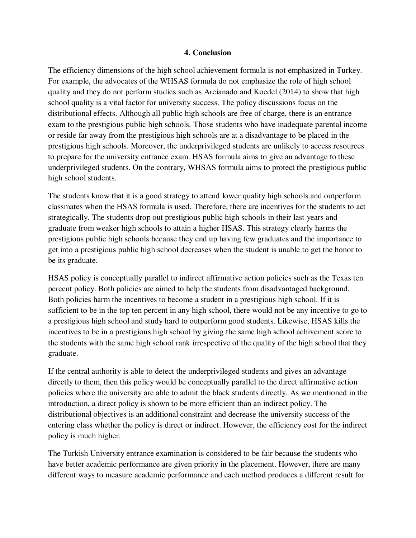#### **4. Conclusion**

The efficiency dimensions of the high school achievement formula is not emphasized in Turkey. For example, the advocates of the WHSAS formula do not emphasize the role of high school quality and they do not perform studies such as Arcianado and Koedel (2014) to show that high school quality is a vital factor for university success. The policy discussions focus on the distributional effects. Although all public high schools are free of charge, there is an entrance exam to the prestigious public high schools. Those students who have inadequate parental income or reside far away from the prestigious high schools are at a disadvantage to be placed in the prestigious high schools. Moreover, the underprivileged students are unlikely to access resources to prepare for the university entrance exam. HSAS formula aims to give an advantage to these underprivileged students. On the contrary, WHSAS formula aims to protect the prestigious public high school students.

The students know that it is a good strategy to attend lower quality high schools and outperform classmates when the HSAS formula is used. Therefore, there are incentives for the students to act strategically. The students drop out prestigious public high schools in their last years and graduate from weaker high schools to attain a higher HSAS. This strategy clearly harms the prestigious public high schools because they end up having few graduates and the importance to get into a prestigious public high school decreases when the student is unable to get the honor to be its graduate.

HSAS policy is conceptually parallel to indirect affirmative action policies such as the Texas ten percent policy. Both policies are aimed to help the students from disadvantaged background. Both policies harm the incentives to become a student in a prestigious high school. If it is sufficient to be in the top ten percent in any high school, there would not be any incentive to go to a prestigious high school and study hard to outperform good students. Likewise, HSAS kills the incentives to be in a prestigious high school by giving the same high school achivement score to the students with the same high school rank irrespective of the quality of the high school that they graduate.

If the central authority is able to detect the underprivileged students and gives an advantage directly to them, then this policy would be conceptually parallel to the direct affirmative action policies where the university are able to admit the black students directly. As we mentioned in the introduction, a direct policy is shown to be more efficient than an indirect policy. The distributional objectives is an additional constraint and decrease the university success of the entering class whether the policy is direct or indirect. However, the efficiency cost for the indirect policy is much higher.

The Turkish University entrance examination is considered to be fair because the students who have better academic performance are given priority in the placement. However, there are many different ways to measure academic performance and each method produces a different result for